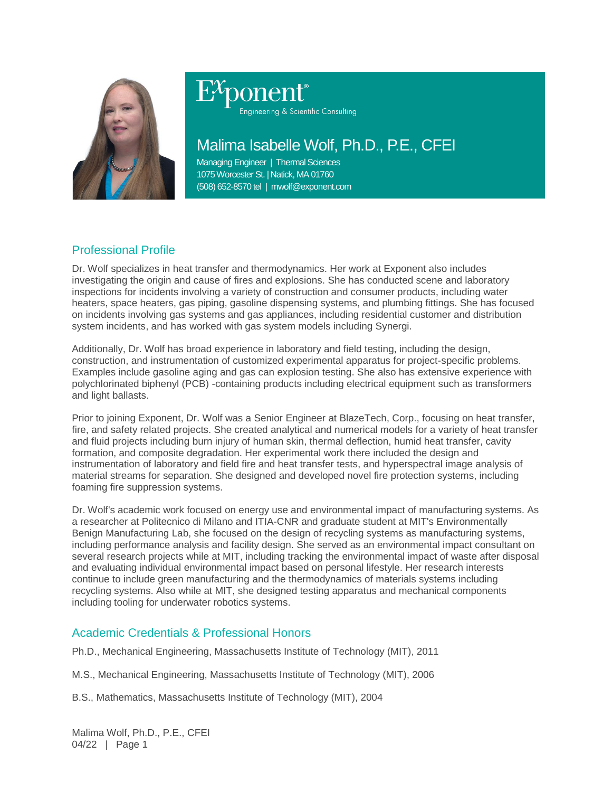

# Engineering & Scientific Consulting

# Malima Isabelle Wolf, Ph.D., P.E., CFEI

Managing Engineer | Thermal Sciences 1075 Worcester St. | Natick, MA 01760 (508) 652-8570 tel | mwolf@exponent.com

# Professional Profile

Dr. Wolf specializes in heat transfer and thermodynamics. Her work at Exponent also includes investigating the origin and cause of fires and explosions. She has conducted scene and laboratory inspections for incidents involving a variety of construction and consumer products, including water heaters, space heaters, gas piping, gasoline dispensing systems, and plumbing fittings. She has focused on incidents involving gas systems and gas appliances, including residential customer and distribution system incidents, and has worked with gas system models including Synergi.

Additionally, Dr. Wolf has broad experience in laboratory and field testing, including the design, construction, and instrumentation of customized experimental apparatus for project-specific problems. Examples include gasoline aging and gas can explosion testing. She also has extensive experience with polychlorinated biphenyl (PCB) -containing products including electrical equipment such as transformers and light ballasts.

Prior to joining Exponent, Dr. Wolf was a Senior Engineer at BlazeTech, Corp., focusing on heat transfer, fire, and safety related projects. She created analytical and numerical models for a variety of heat transfer and fluid projects including burn injury of human skin, thermal deflection, humid heat transfer, cavity formation, and composite degradation. Her experimental work there included the design and instrumentation of laboratory and field fire and heat transfer tests, and hyperspectral image analysis of material streams for separation. She designed and developed novel fire protection systems, including foaming fire suppression systems.

Dr. Wolf's academic work focused on energy use and environmental impact of manufacturing systems. As a researcher at Politecnico di Milano and ITIA-CNR and graduate student at MIT's Environmentally Benign Manufacturing Lab, she focused on the design of recycling systems as manufacturing systems, including performance analysis and facility design. She served as an environmental impact consultant on several research projects while at MIT, including tracking the environmental impact of waste after disposal and evaluating individual environmental impact based on personal lifestyle. Her research interests continue to include green manufacturing and the thermodynamics of materials systems including recycling systems. Also while at MIT, she designed testing apparatus and mechanical components including tooling for underwater robotics systems.

## Academic Credentials & Professional Honors

Ph.D., Mechanical Engineering, Massachusetts Institute of Technology (MIT), 2011

M.S., Mechanical Engineering, Massachusetts Institute of Technology (MIT), 2006

B.S., Mathematics, Massachusetts Institute of Technology (MIT), 2004

Malima Wolf, Ph.D., P.E., CFEI 04/22 | Page 1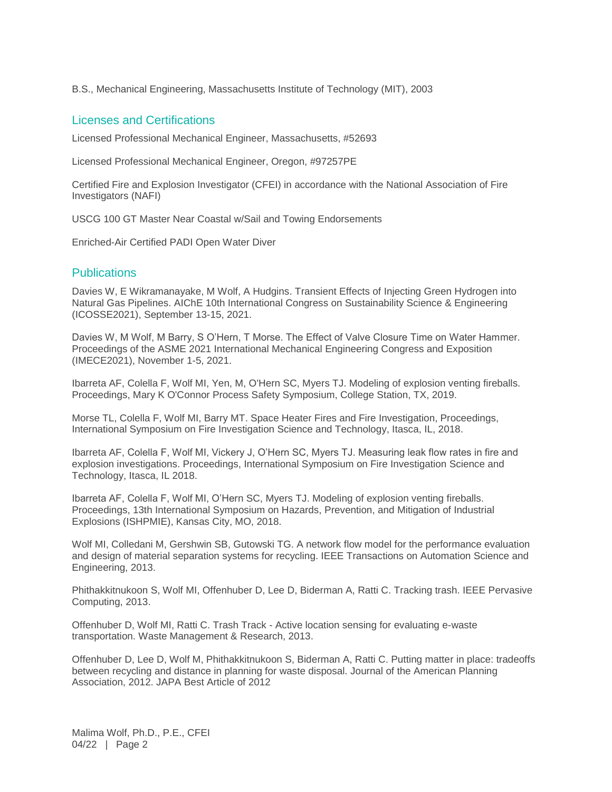B.S., Mechanical Engineering, Massachusetts Institute of Technology (MIT), 2003

#### Licenses and Certifications

Licensed Professional Mechanical Engineer, Massachusetts, #52693

Licensed Professional Mechanical Engineer, Oregon, #97257PE

Certified Fire and Explosion Investigator (CFEI) in accordance with the National Association of Fire Investigators (NAFI)

USCG 100 GT Master Near Coastal w/Sail and Towing Endorsements

Enriched-Air Certified PADI Open Water Diver

### Publications

Davies W, E Wikramanayake, M Wolf, A Hudgins. Transient Effects of Injecting Green Hydrogen into Natural Gas Pipelines. AIChE 10th International Congress on Sustainability Science & Engineering (ICOSSE2021), September 13-15, 2021.

Davies W, M Wolf, M Barry, S O'Hern, T Morse. The Effect of Valve Closure Time on Water Hammer. Proceedings of the ASME 2021 International Mechanical Engineering Congress and Exposition (IMECE2021), November 1-5, 2021.

Ibarreta AF, Colella F, Wolf MI, Yen, M, O'Hern SC, Myers TJ. Modeling of explosion venting fireballs. Proceedings, Mary K O'Connor Process Safety Symposium, College Station, TX, 2019.

Morse TL, Colella F, Wolf MI, Barry MT. Space Heater Fires and Fire Investigation, Proceedings, International Symposium on Fire Investigation Science and Technology, Itasca, IL, 2018.

Ibarreta AF, Colella F, Wolf MI, Vickery J, O'Hern SC, Myers TJ. Measuring leak flow rates in fire and explosion investigations. Proceedings, International Symposium on Fire Investigation Science and Technology, Itasca, IL 2018.

Ibarreta AF, Colella F, Wolf MI, O'Hern SC, Myers TJ. Modeling of explosion venting fireballs. Proceedings, 13th International Symposium on Hazards, Prevention, and Mitigation of Industrial Explosions (ISHPMIE), Kansas City, MO, 2018.

Wolf MI, Colledani M, Gershwin SB, Gutowski TG. A network flow model for the performance evaluation and design of material separation systems for recycling. IEEE Transactions on Automation Science and Engineering, 2013.

Phithakkitnukoon S, Wolf MI, Offenhuber D, Lee D, Biderman A, Ratti C. Tracking trash. IEEE Pervasive Computing, 2013.

Offenhuber D, Wolf MI, Ratti C. Trash Track - Active location sensing for evaluating e-waste transportation. Waste Management & Research, 2013.

Offenhuber D, Lee D, Wolf M, Phithakkitnukoon S, Biderman A, Ratti C. Putting matter in place: tradeoffs between recycling and distance in planning for waste disposal. Journal of the American Planning Association, 2012. JAPA Best Article of 2012

Malima Wolf, Ph.D., P.E., CFEI 04/22 | Page 2